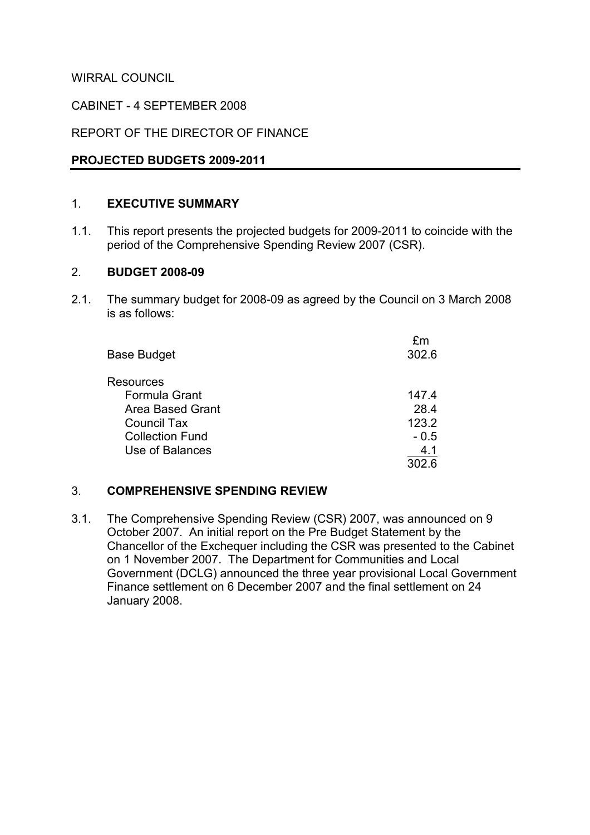WIRRAL COUNCIL

CABINET - 4 SEPTEMBER 2008

REPORT OF THE DIRECTOR OF FINANCE

#### PROJECTED BUDGETS 2009-2011

# 1. EXECUTIVE SUMMARY

1.1. This report presents the projected budgets for 2009-2011 to coincide with the period of the Comprehensive Spending Review 2007 (CSR).

#### 2. BUDGET 2008-09

2.1. The summary budget for 2008-09 as agreed by the Council on 3 March 2008 is as follows:

| <b>Base Budget</b>     | fm<br>302.6 |
|------------------------|-------------|
| <b>Resources</b>       |             |
| Formula Grant          | 147.4       |
| Area Based Grant       | 28.4        |
| <b>Council Tax</b>     | 123.2       |
| <b>Collection Fund</b> | $-0.5$      |
| Use of Balances        | 4.1         |
|                        | 302.6       |

#### 3. COMPREHENSIVE SPENDING REVIEW

3.1. The Comprehensive Spending Review (CSR) 2007, was announced on 9 October 2007. An initial report on the Pre Budget Statement by the Chancellor of the Exchequer including the CSR was presented to the Cabinet on 1 November 2007. The Department for Communities and Local Government (DCLG) announced the three year provisional Local Government Finance settlement on 6 December 2007 and the final settlement on 24 January 2008.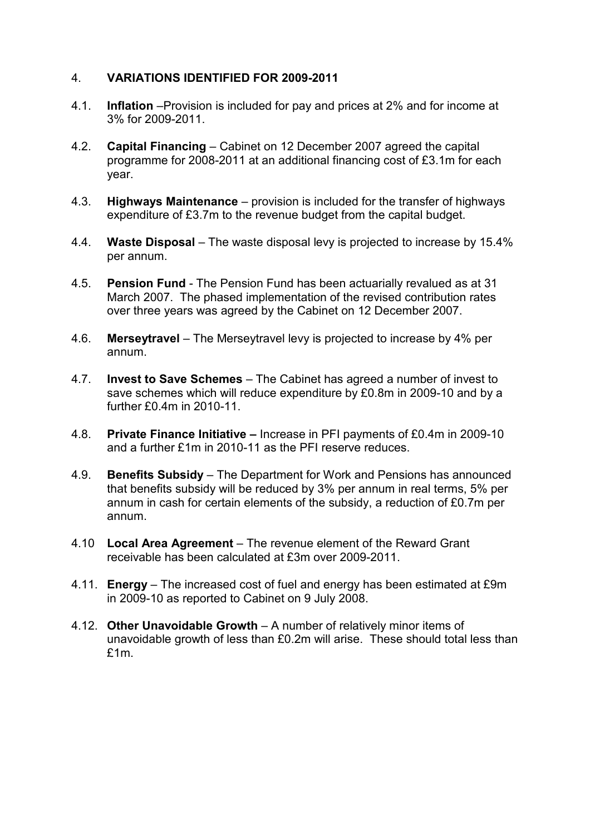# 4. VARIATIONS IDENTIFIED FOR 2009-2011

- 4.1. Inflation –Provision is included for pay and prices at 2% and for income at 3% for 2009-2011.
- 4.2. Capital Financing Cabinet on 12 December 2007 agreed the capital programme for 2008-2011 at an additional financing cost of £3.1m for each year.
- 4.3. Highways Maintenance provision is included for the transfer of highways expenditure of £3.7m to the revenue budget from the capital budget.
- 4.4. Waste Disposal The waste disposal levy is projected to increase by 15.4% per annum.
- 4.5. Pension Fund The Pension Fund has been actuarially revalued as at 31 March 2007. The phased implementation of the revised contribution rates over three years was agreed by the Cabinet on 12 December 2007.
- 4.6. Merseytravel The Merseytravel levy is projected to increase by 4% per annum.
- 4.7. Invest to Save Schemes The Cabinet has agreed a number of invest to save schemes which will reduce expenditure by £0.8m in 2009-10 and by a further £0.4m in 2010-11.
- 4.8. Private Finance Initiative Increase in PFI payments of £0.4m in 2009-10 and a further £1m in 2010-11 as the PFI reserve reduces.
- 4.9. Benefits Subsidy The Department for Work and Pensions has announced that benefits subsidy will be reduced by 3% per annum in real terms, 5% per annum in cash for certain elements of the subsidy, a reduction of £0.7m per annum.
- 4.10 Local Area Agreement The revenue element of the Reward Grant receivable has been calculated at £3m over 2009-2011.
- 4.11. Energy The increased cost of fuel and energy has been estimated at £9m in 2009-10 as reported to Cabinet on 9 July 2008.
- 4.12. Other Unavoidable Growth A number of relatively minor items of unavoidable growth of less than £0.2m will arise. These should total less than £1m.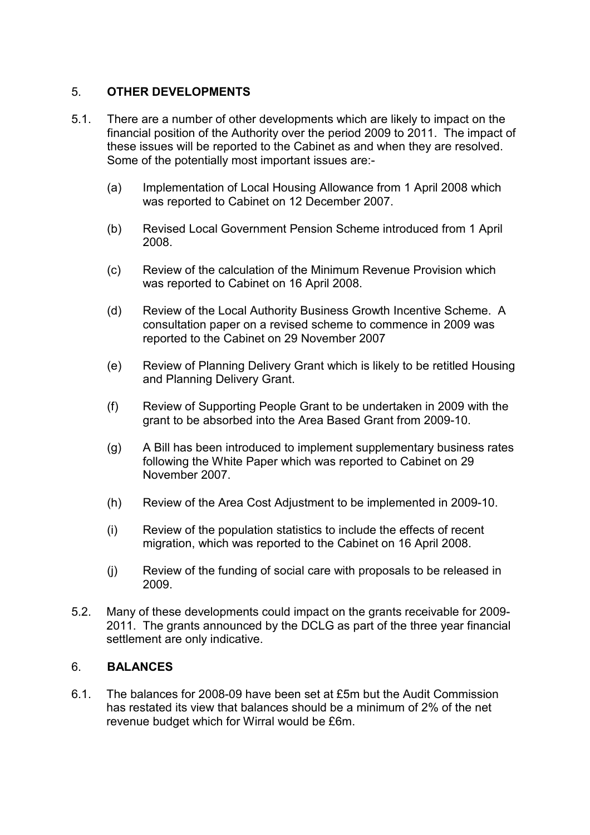# 5. OTHER DEVELOPMENTS

- 5.1. There are a number of other developments which are likely to impact on the financial position of the Authority over the period 2009 to 2011. The impact of these issues will be reported to the Cabinet as and when they are resolved. Some of the potentially most important issues are:-
	- (a) Implementation of Local Housing Allowance from 1 April 2008 which was reported to Cabinet on 12 December 2007.
	- (b) Revised Local Government Pension Scheme introduced from 1 April 2008.
	- (c) Review of the calculation of the Minimum Revenue Provision which was reported to Cabinet on 16 April 2008.
	- (d) Review of the Local Authority Business Growth Incentive Scheme. A consultation paper on a revised scheme to commence in 2009 was reported to the Cabinet on 29 November 2007
	- (e) Review of Planning Delivery Grant which is likely to be retitled Housing and Planning Delivery Grant.
	- (f) Review of Supporting People Grant to be undertaken in 2009 with the grant to be absorbed into the Area Based Grant from 2009-10.
	- (g) A Bill has been introduced to implement supplementary business rates following the White Paper which was reported to Cabinet on 29 November 2007.
	- (h) Review of the Area Cost Adjustment to be implemented in 2009-10.
	- (i) Review of the population statistics to include the effects of recent migration, which was reported to the Cabinet on 16 April 2008.
	- (j) Review of the funding of social care with proposals to be released in 2009.
- 5.2. Many of these developments could impact on the grants receivable for 2009- 2011. The grants announced by the DCLG as part of the three year financial settlement are only indicative.

#### 6. BALANCES

6.1. The balances for 2008-09 have been set at £5m but the Audit Commission has restated its view that balances should be a minimum of 2% of the net revenue budget which for Wirral would be £6m.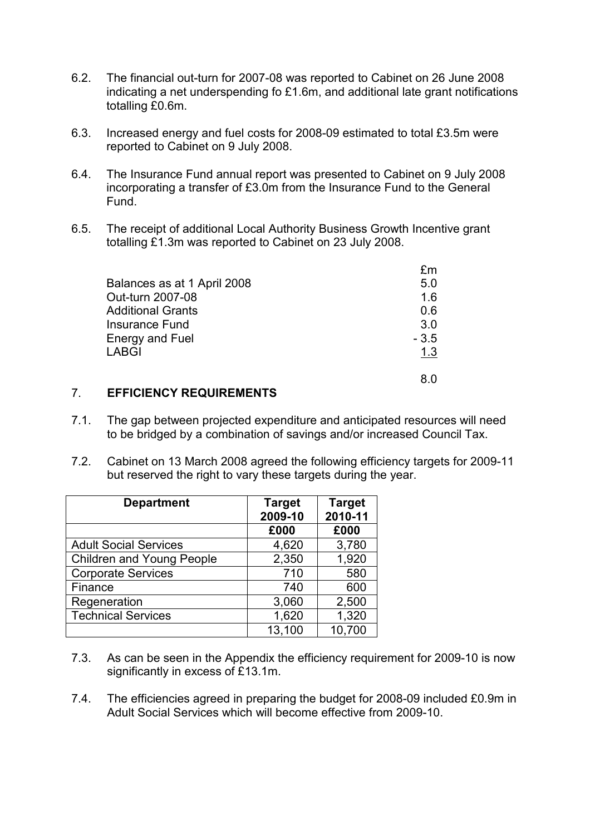- 6.2. The financial out-turn for 2007-08 was reported to Cabinet on 26 June 2008 indicating a net underspending fo £1.6m, and additional late grant notifications totalling £0.6m.
- 6.3. Increased energy and fuel costs for 2008-09 estimated to total £3.5m were reported to Cabinet on 9 July 2008.
- 6.4. The Insurance Fund annual report was presented to Cabinet on 9 July 2008 incorporating a transfer of £3.0m from the Insurance Fund to the General Fund.
- 6.5. The receipt of additional Local Authority Business Growth Incentive grant totalling £1.3m was reported to Cabinet on 23 July 2008.

| Balances as at 1 April 2008 | 5.0    |
|-----------------------------|--------|
| Out-turn 2007-08            | 1.6    |
| <b>Additional Grants</b>    | 0 6    |
| <b>Insurance Fund</b>       | 3.0    |
| <b>Energy and Fuel</b>      | $-3.5$ |
| <b>LABGI</b>                | 1.3    |
|                             |        |

#### 7. EFFICIENCY REQUIREMENTS

- 7.1. The gap between projected expenditure and anticipated resources will need to be bridged by a combination of savings and/or increased Council Tax.
- 7.2. Cabinet on 13 March 2008 agreed the following efficiency targets for 2009-11 but reserved the right to vary these targets during the year.

| <b>Department</b>                | <b>Target</b><br>2009-10 | <b>Target</b><br>2010-11 |
|----------------------------------|--------------------------|--------------------------|
|                                  | £000                     | £000                     |
| <b>Adult Social Services</b>     | 4,620                    | 3,780                    |
| <b>Children and Young People</b> | 2,350                    | 1,920                    |
| <b>Corporate Services</b>        | 710                      | 580                      |
| Finance                          | 740                      | 600                      |
| Regeneration                     | 3,060                    | 2,500                    |
| <b>Technical Services</b>        | 1,620                    | 1,320                    |
|                                  | 13,100                   | 10,700                   |

- 7.3. As can be seen in the Appendix the efficiency requirement for 2009-10 is now significantly in excess of £13.1m.
- 7.4. The efficiencies agreed in preparing the budget for 2008-09 included £0.9m in Adult Social Services which will become effective from 2009-10.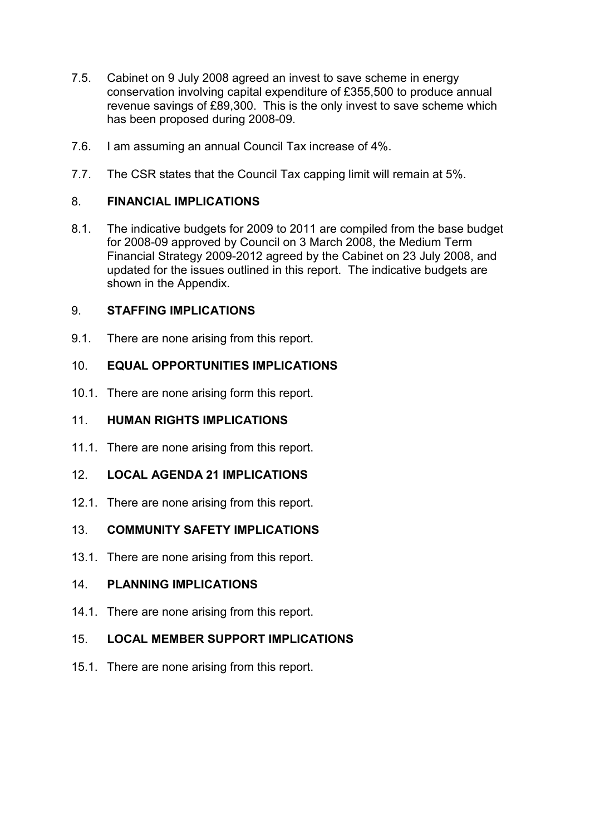- 7.5. Cabinet on 9 July 2008 agreed an invest to save scheme in energy conservation involving capital expenditure of £355,500 to produce annual revenue savings of £89,300. This is the only invest to save scheme which has been proposed during 2008-09.
- 7.6. I am assuming an annual Council Tax increase of 4%.
- 7.7. The CSR states that the Council Tax capping limit will remain at 5%.

# 8. FINANCIAL IMPLICATIONS

8.1. The indicative budgets for 2009 to 2011 are compiled from the base budget for 2008-09 approved by Council on 3 March 2008, the Medium Term Financial Strategy 2009-2012 agreed by the Cabinet on 23 July 2008, and updated for the issues outlined in this report. The indicative budgets are shown in the Appendix.

# 9. STAFFING IMPLICATIONS

9.1. There are none arising from this report.

# 10. FOUAL OPPORTUNITIES IMPLICATIONS

10.1. There are none arising form this report.

# 11. HUMAN RIGHTS IMPLICATIONS

11.1. There are none arising from this report.

# 12. LOCAL AGENDA 21 IMPLICATIONS

12.1. There are none arising from this report.

# 13. COMMUNITY SAFETY IMPLICATIONS

13.1. There are none arising from this report.

# 14. PLANNING IMPLICATIONS

14.1. There are none arising from this report.

# 15. LOCAL MEMBER SUPPORT IMPLICATIONS

15.1. There are none arising from this report.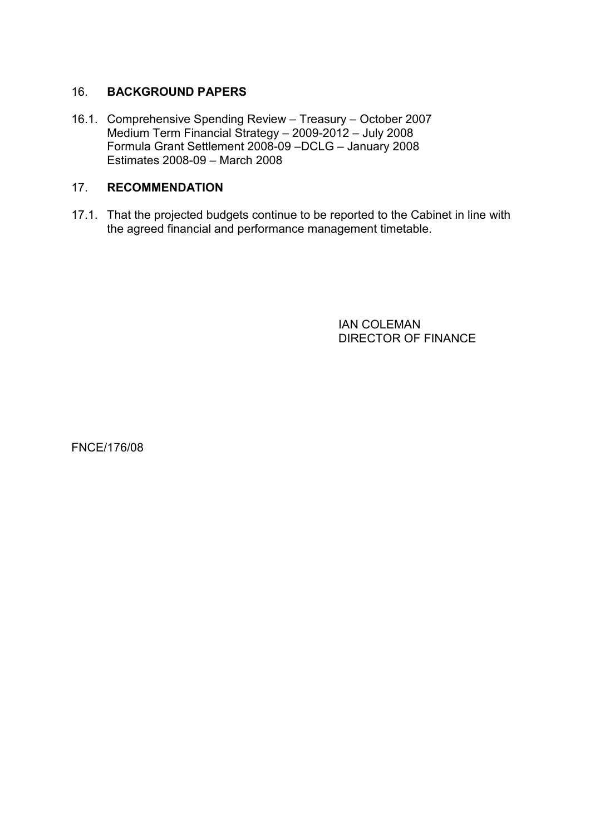# 16. BACKGROUND PAPERS

16.1. Comprehensive Spending Review – Treasury – October 2007 Medium Term Financial Strategy – 2009-2012 – July 2008 Formula Grant Settlement 2008-09 –DCLG – January 2008 Estimates 2008-09 – March 2008

# 17. RECOMMENDATION

17.1. That the projected budgets continue to be reported to the Cabinet in line with the agreed financial and performance management timetable.

> IAN COLEMAN DIRECTOR OF FINANCE

FNCE/176/08